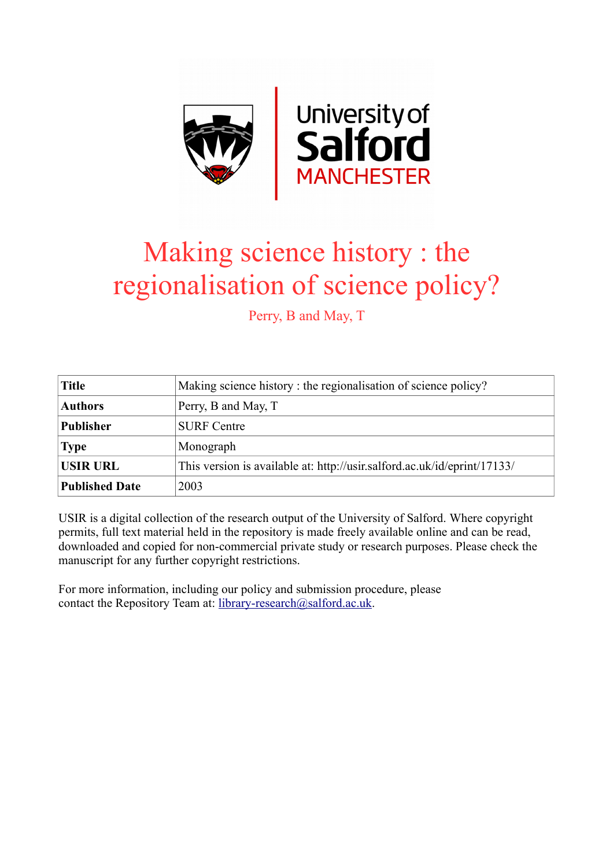

## Making science history : the regionalisation of science policy?

Perry, B and May, T

| <b>Title</b>          | Making science history: the regionalisation of science policy?           |
|-----------------------|--------------------------------------------------------------------------|
| <b>Authors</b>        | Perry, B and May, T                                                      |
| <b>Publisher</b>      | <b>SURF</b> Centre                                                       |
| <b>Type</b>           | Monograph                                                                |
| <b>USIR URL</b>       | This version is available at: http://usir.salford.ac.uk/id/eprint/17133/ |
| <b>Published Date</b> | 2003                                                                     |

USIR is a digital collection of the research output of the University of Salford. Where copyright permits, full text material held in the repository is made freely available online and can be read, downloaded and copied for non-commercial private study or research purposes. Please check the manuscript for any further copyright restrictions.

For more information, including our policy and submission procedure, please contact the Repository Team at: [library-research@salford.ac.uk.](mailto:library-research@salford.ac.uk)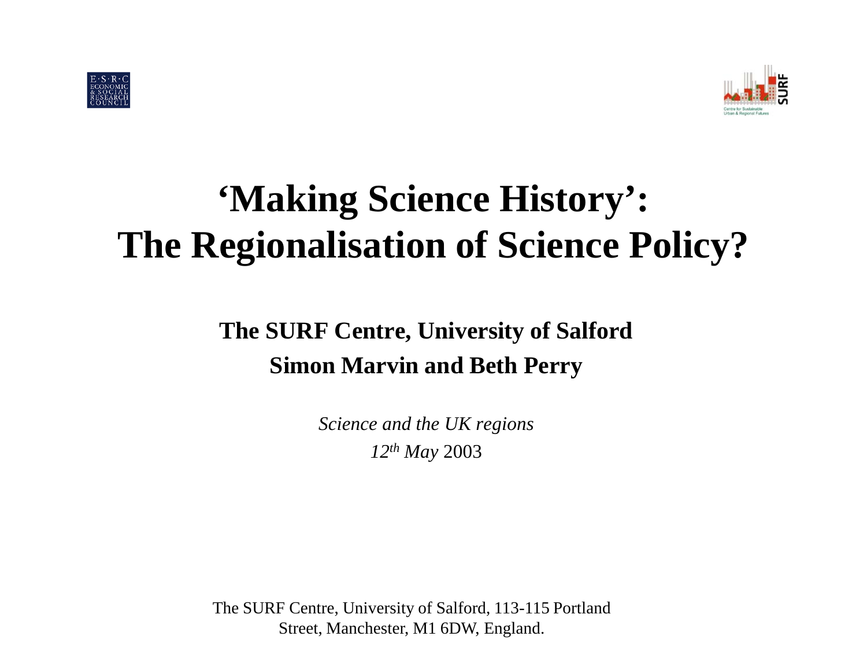



# **'Making Science History': The Regionalisation of Science Policy?**

#### **The SURF Centre, University of Salford Simon Marvin and Beth Perry**

*Science and the UK regions 12th May* 2003

The SURF Centre, University of Salford, 113-115 Portland Street, Manchester, M1 6DW, England.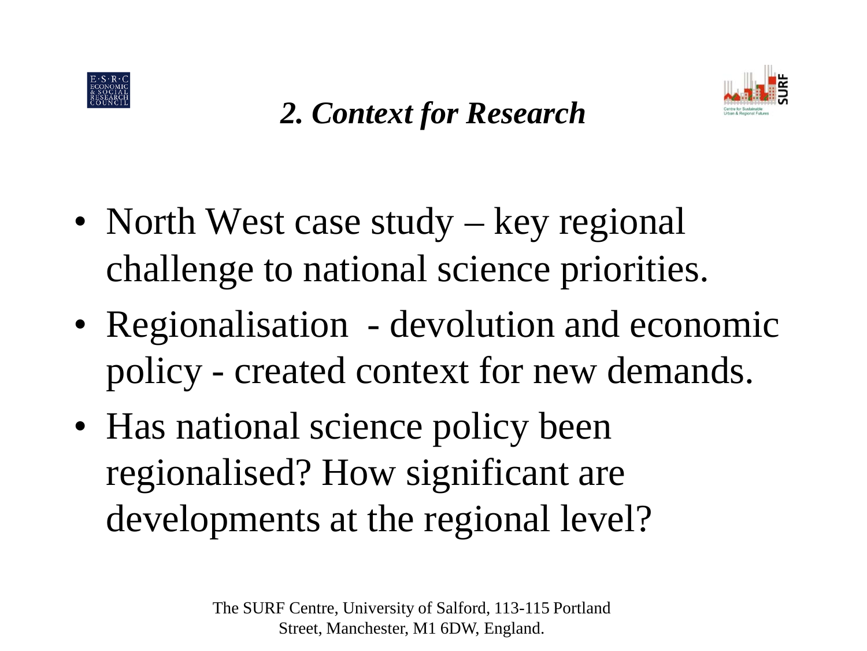

#### *2. Context for Research*



- North West case study key regional challenge to national science priorities.
- Regionalisation devolution and economic policy - created context for new demands.
- Has national science policy been regionalised? How significant are developments at the regional level?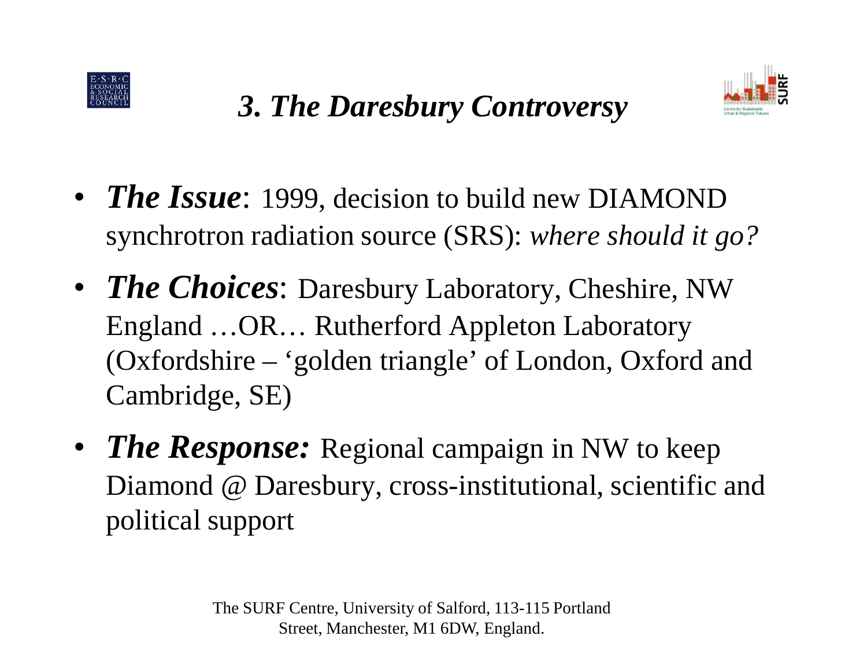

#### *3. The Daresbury Controversy*



- *The Issue*: 1999, decision to build new DIAMOND synchrotron radiation source (SRS): *where should it go?*
- *The Choices*: Daresbury Laboratory, Cheshire, NW England …OR… Rutherford Appleton Laboratory (Oxfordshire – 'golden triangle' of London, Oxford and Cambridge, SE)
- *The Response:* Regional campaign in NW to keep Diamond @ Daresbury, cross-institutional, scientific and political support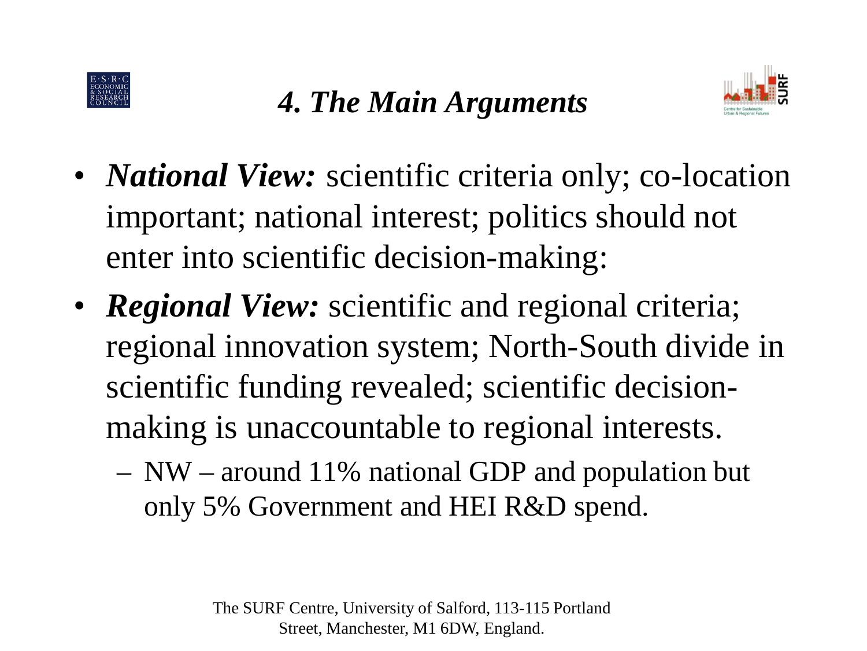



- *National View:* scientific criteria only; co-location important; national interest; politics should not enter into scientific decision-making:
- *Regional View:* scientific and regional criteria; regional innovation system; North-South divide in scientific funding revealed; scientific decisionmaking is unaccountable to regional interests.
	- NW around 11% national GDP and population but only 5% Government and HEI R&D spend.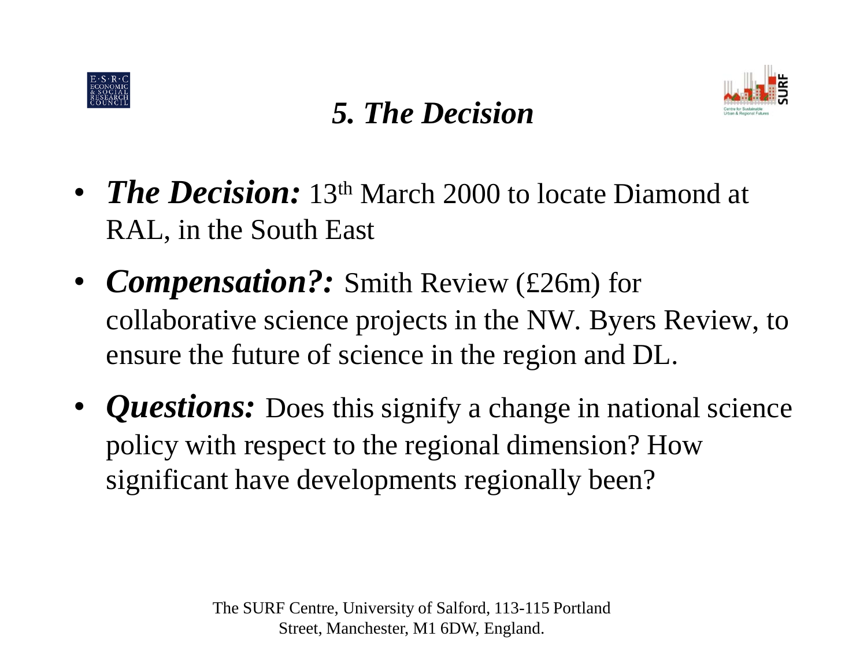

### *5. The Decision*



- *The Decision:* 13<sup>th</sup> March 2000 to locate Diamond at RAL, in the South East
- *Compensation?:* Smith Review (£26m) for collaborative science projects in the NW. Byers Review, to ensure the future of science in the region and DL.
- *Questions:* Does this signify a change in national science policy with respect to the regional dimension? How significant have developments regionally been?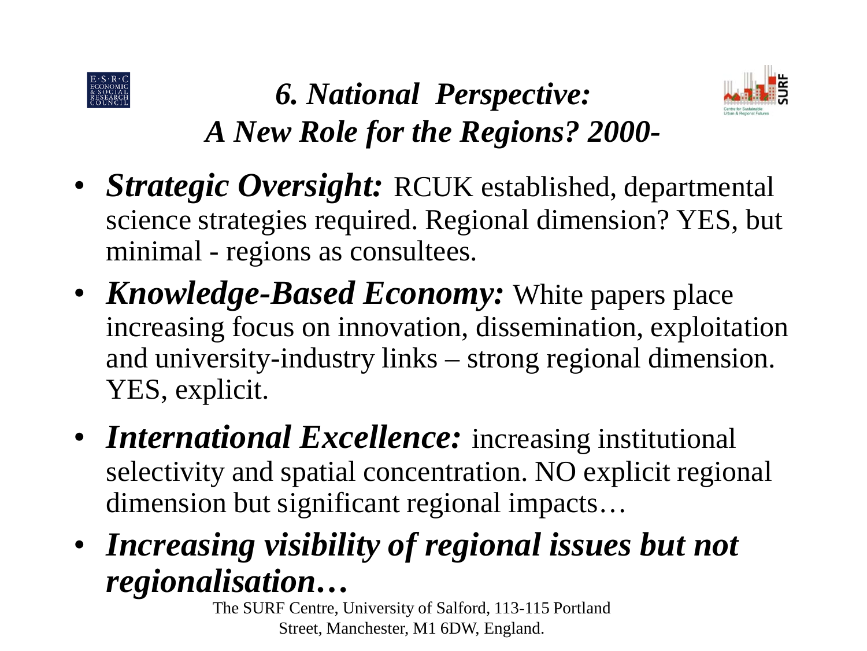

## *6. National Perspective: A New Role for the Regions? 2000-*



- *Strategic Oversight:* RCUK established, departmental science strategies required. Regional dimension? YES, but minimal - regions as consultees.
- *Knowledge-Based Economy:* White papers place increasing focus on innovation, dissemination, exploitation and university-industry links – strong regional dimension. YES, explicit.
- *International Excellence:* increasing institutional selectivity and spatial concentration. NO explicit regional dimension but significant regional impacts…
- *Increasing visibility of regional issues but not regionalisation…*

The SURF Centre, University of Salford, 113-115 Portland Street, Manchester, M1 6DW, England.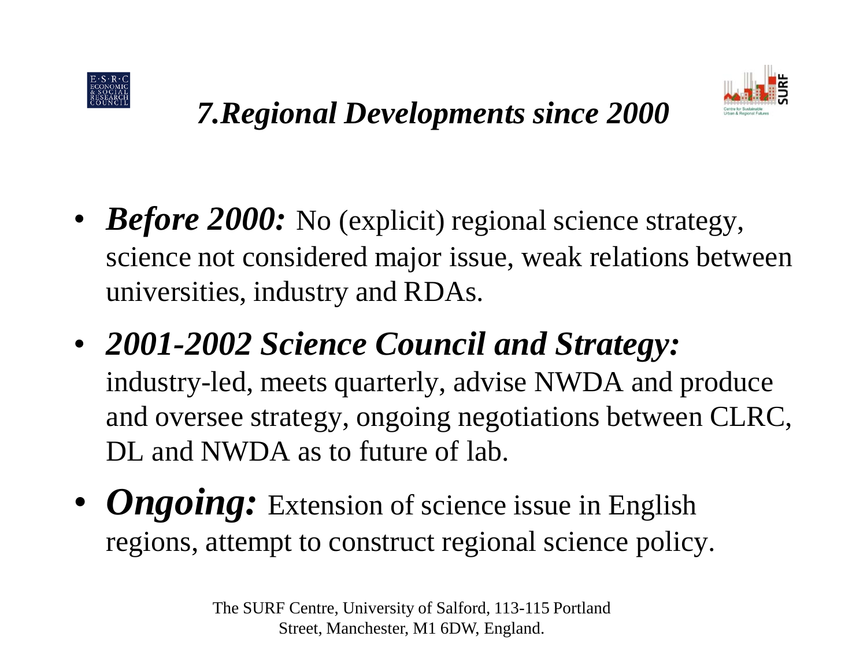



## *7.Regional Developments since 2000*

- *Before 2000:* No (explicit) regional science strategy, science not considered major issue, weak relations between universities, industry and RDAs.
- *2001-2002 Science Council and Strategy:* industry-led, meets quarterly, advise NWDA and produce and oversee strategy, ongoing negotiations between CLRC, DL and NWDA as to future of lab.
- **Ongoing:** Extension of science issue in English regions, attempt to construct regional science policy.